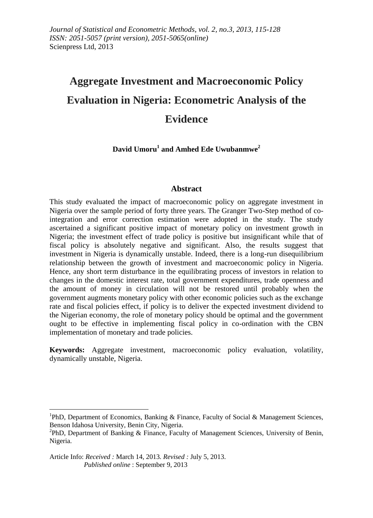# **Aggregate Investment and Macroeconomic Policy Evaluation in Nigeria: Econometric Analysis of the Evidence**

## **David Umoru<sup>1</sup> and Amhed Ede Uwubanmwe<sup>2</sup>**

#### **Abstract**

This study evaluated the impact of macroeconomic policy on aggregate investment in Nigeria over the sample period of forty three years. The Granger Two-Step method of cointegration and error correction estimation were adopted in the study. The study ascertained a significant positive impact of monetary policy on investment growth in Nigeria; the investment effect of trade policy is positive but insignificant while that of fiscal policy is absolutely negative and significant. Also, the results suggest that investment in Nigeria is dynamically unstable. Indeed, there is a long-run disequilibrium relationship between the growth of investment and macroeconomic policy in Nigeria. Hence, any short term disturbance in the equilibrating process of investors in relation to changes in the domestic interest rate, total government expenditures, trade openness and the amount of money in circulation will not be restored until probably when the government augments monetary policy with other economic policies such as the exchange rate and fiscal policies effect, if policy is to deliver the expected investment dividend to the Nigerian economy, the role of monetary policy should be optimal and the government ought to be effective in implementing fiscal policy in co-ordination with the CBN implementation of monetary and trade policies.

**Keywords:** Aggregate investment, macroeconomic policy evaluation, volatility, dynamically unstable, Nigeria.

<sup>&</sup>lt;sup>1</sup>PhD, Department of Economics, Banking & Finance, Faculty of Social & Management Sciences, Benson Idahosa University, Benin City, Nigeria.

<sup>&</sup>lt;sup>2</sup>PhD, Department of Banking & Finance, Faculty of Management Sciences, University of Benin, Nigeria.

Article Info: *Received :* March 14, 2013*. Revised :* July 5, 2013.  *Published online* : September 9, 2013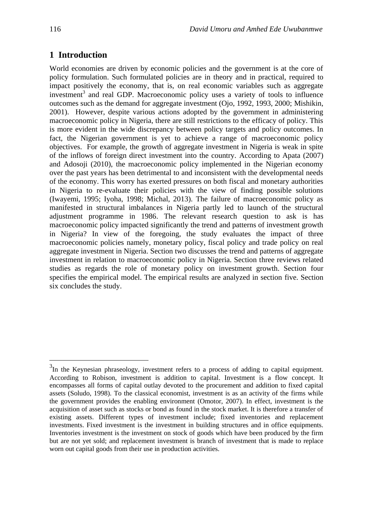## **1 Introduction**

World economies are driven by economic policies and the government is at the core of policy formulation. Such formulated policies are in theory and in practical, required to impact positively the economy, that is, on real economic variables such as aggregate investment<sup>3</sup> and real GDP. Macroeconomic policy uses a variety of tools to influence outcomes such as the demand for aggregate investment (Ojo, 1992, 1993, 2000; Mishikin, 2001). However, despite various actions adopted by the government in administering macroeconomic policy in Nigeria, there are still restrictions to the efficacy of policy. This is more evident in the wide discrepancy between policy targets and policy outcomes. In fact, the Nigerian government is yet to achieve a range of macroeconomic policy objectives. For example, the growth of aggregate investment in Nigeria is weak in spite of the inflows of foreign direct investment into the country. According to Apata (2007) and Adosoji (2010), the macroeconomic policy implemented in the Nigerian economy over the past years has been detrimental to and inconsistent with the developmental needs of the economy. This worry has exerted pressures on both fiscal and monetary authorities in Nigeria to re-evaluate their policies with the view of finding possible solutions (Iwayemi, 1995; Iyoha, 1998; Michal, 2013). The failure of macroeconomic policy as manifested in structural imbalances in Nigeria partly led to launch of the structural adjustment programme in 1986. The relevant research question to ask is has macroeconomic policy impacted significantly the trend and patterns of investment growth in Nigeria? In view of the foregoing, the study evaluates the impact of three macroeconomic policies namely, monetary policy, fiscal policy and trade policy on real aggregate investment in Nigeria. Section two discusses the trend and patterns of aggregate investment in relation to macroeconomic policy in Nigeria. Section three reviews related studies as regards the role of monetary policy on investment growth. Section four specifies the empirical model. The empirical results are analyzed in section five. Section six concludes the study.

 $3$ In the Keynesian phraseology, investment refers to a process of adding to capital equipment. According to Robison, investment is addition to capital. Investment is a flow concept. It encompasses all forms of capital outlay devoted to the procurement and addition to fixed capital assets (Soludo, 1998). To the classical economist, investment is as an activity of the firms while the government provides the enabling environment (Omotor, 2007). In effect, investment is the acquisition of asset such as stocks or bond as found in the stock market. It is therefore a transfer of existing assets. Different types of investment include; fixed inventories and replacement investments. Fixed investment is the investment in building structures and in office equipments. Inventories investment is the investment on stock of goods which have been produced by the firm but are not yet sold; and replacement investment is branch of investment that is made to replace worn out capital goods from their use in production activities.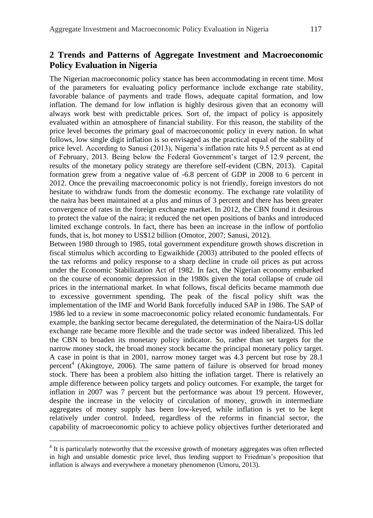# **2 Trends and Patterns of Aggregate Investment and Macroeconomic Policy Evaluation in Nigeria**

The Nigerian macroeconomic policy stance has been accommodating in recent time. Most of the parameters for evaluating policy performance include exchange rate stability, favorable balance of payments and trade flows, adequate capital formation, and low inflation. The demand for low inflation is highly desirous given that an economy will always work best with predictable prices. Sort of, the impact of policy is appositely evaluated within an atmosphere of financial stability. For this reason, the stability of the price level becomes the primary goal of macroeconomic policy in every nation. In what follows, low single digit inflation is so envisaged as the practical equal of the stability of price level. According to Sanusi (2013), Nigeria"s inflation rate hits 9.5 percent as at end of February, 2013. Being below the Federal Government"s target of 12.9 percent, the results of the monetary policy strategy are therefore self-evident (CBN, 2013). Capital formation grew from a negative value of -6.8 percent of GDP in 2008 to 6 percent in 2012. Once the prevailing macroeconomic policy is not friendly, foreign investors do not hesitate to withdraw funds from the domestic economy. The exchange rate volatility of the naira has been maintained at a plus and minus of 3 percent and there has been greater convergence of rates in the foreign exchange market. In 2012, the CBN found it desirous to protect the value of the naira; it reduced the net open positions of banks and introduced limited exchange controls. In fact, there has been an increase in the inflow of portfolio funds, that is, hot money to US\$12 billion (Omotor, 2007; Sanusi, 2012).

Between 1980 through to 1985, total government expenditure growth shows discretion in fiscal stimulus which according to Egwaikhide (2003) attributed to the pooled effects of the tax reforms and policy response to a sharp decline in crude oil prices as put across under the Economic Stabilization Act of 1982. In fact, the Nigerian economy embarked on the course of economic depression in the 1980s given the total collapse of crude oil prices in the international market. In what follows, fiscal deficits became mammoth due to excessive government spending. The peak of the fiscal policy shift was the implementation of the IMF and World Bank forcefully induced SAP in 1986. The SAP of 1986 led to a review in some macroeconomic policy related economic fundamentals. For example, the banking sector became deregulated, the determination of the Naira-US dollar exchange rate became more flexible and the trade sector was indeed liberalized. This led the CBN to broaden its monetary policy indicator. So, rather than set targets for the narrow money stock, the broad money stock became the principal monetary policy target. A case in point is that in 2001, narrow money target was 4.3 percent but rose by 28.1 percent<sup>4</sup> (Akingtoye, 2006). The same pattern of failure is observed for broad money stock. There has been a problem also hitting the inflation target. There is relatively an ample difference between policy targets and policy outcomes. For example, the target for inflation in 2007 was 7 percent but the performance was about 19 percent. However, despite the increase in the velocity of circulation of money, growth in intermediate aggregates of money supply has been low-keyed, while inflation is yet to be kept relatively under control. Indeed, regardless of the reforms in financial sector, the capability of macroeconomic policy to achieve policy objectives further deteriorated and

 $4$  It is particularly noteworthy that the excessive growth of monetary aggregates was often reflected in high and unstable domestic price level, thus lending support to Friedman"s proposition that inflation is always and everywhere a monetary phenomenon (Umoru, 2013).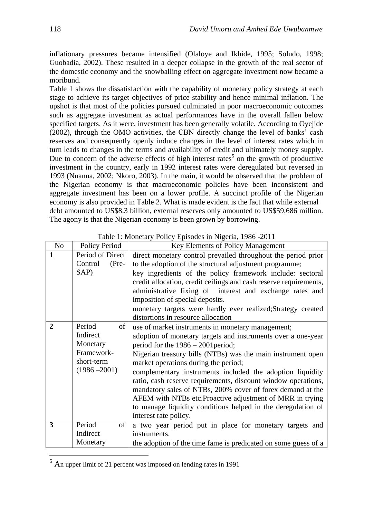inflationary pressures became intensified (Olaloye and Ikhide, 1995; Soludo, 1998; Guobadia, 2002). These resulted in a deeper collapse in the growth of the real sector of the domestic economy and the snowballing effect on aggregate investment now became a moribund.

Table 1 shows the dissatisfaction with the capability of monetary policy strategy at each stage to achieve its target objectives of price stability and hence minimal inflation. The upshot is that most of the policies pursued culminated in poor macroeconomic outcomes such as aggregate investment as actual performances have in the overall fallen below specified targets. As it were, investment has been generally volatile. According to Oyejide (2002), through the OMO activities, the CBN directly change the level of banks" cash reserves and consequently openly induce changes in the level of interest rates which in turn leads to changes in the terms and availability of credit and ultimately money supply. Due to concern of the adverse effects of high interest rates<sup>5</sup> on the growth of productive investment in the country, early in 1992 interest rates were deregulated but reversed in 1993 (Nnanna, 2002; Nkoro, 2003). In the main, it would be observed that the problem of the Nigerian economy is that macroeconomic policies have been inconsistent and aggregate investment has been on a lower profile. A succinct profile of the Nigerian economy is also provided in Table 2. What is made evident is the fact that while external debt amounted to US\$8.3 billion, external reserves only amounted to US\$59,686 million. The agony is that the Nigerian economy is been grown by borrowing.

| No                      | Policy Period                                                                       | Key Elements of Policy Management                                                                                                                                                                                                                                                                                                                                                                                                                                                                                                                                                                                  |  |  |  |  |
|-------------------------|-------------------------------------------------------------------------------------|--------------------------------------------------------------------------------------------------------------------------------------------------------------------------------------------------------------------------------------------------------------------------------------------------------------------------------------------------------------------------------------------------------------------------------------------------------------------------------------------------------------------------------------------------------------------------------------------------------------------|--|--|--|--|
| $\mathbf{1}$            | Period of Direct<br>Control<br>$(Pre-$<br>SAP)                                      | direct monetary control prevailed throughout the period prior<br>to the adoption of the structural adjustment programme;<br>key ingredients of the policy framework include: sectoral<br>credit allocation, credit ceilings and cash reserve requirements,<br>administrative fixing of interest and exchange rates and<br>imposition of special deposits.<br>monetary targets were hardly ever realized; Strategy created<br>distortions in resource allocation                                                                                                                                                    |  |  |  |  |
| $\mathbf{2}$            | Period<br>of<br>Indirect<br>Monetary<br>Framework-<br>short-term<br>$(1986 - 2001)$ | use of market instruments in monetary management;<br>adoption of monetary targets and instruments over a one-year<br>period for the $1986 - 2001$ period;<br>Nigerian treasury bills (NTBs) was the main instrument open<br>market operations during the period;<br>complementary instruments included the adoption liquidity<br>ratio, cash reserve requirements, discount window operations,<br>mandatory sales of NTBs, 200% cover of forex demand at the<br>AFEM with NTBs etc. Proactive adjustment of MRR in trying<br>to manage liquidity conditions helped in the deregulation of<br>interest rate policy. |  |  |  |  |
| $\overline{\mathbf{3}}$ | of<br>Period<br>Indirect<br>Monetary                                                | a two year period put in place for monetary targets and<br>instruments.<br>the adoption of the time fame is predicated on some guess of a                                                                                                                                                                                                                                                                                                                                                                                                                                                                          |  |  |  |  |

Table 1: Monetary Policy Episodes in Nigeria, 1986 -2011

<sup>5</sup> An upper limit of 21 percent was imposed on lending rates in 1991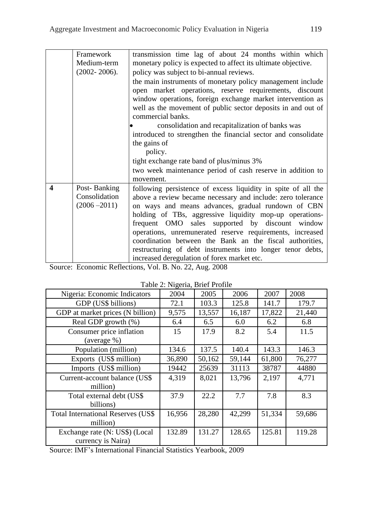|                         | Framework        | transmission time lag of about 24 months within which         |  |  |  |  |  |
|-------------------------|------------------|---------------------------------------------------------------|--|--|--|--|--|
|                         | Medium-term      | monetary policy is expected to affect its ultimate objective. |  |  |  |  |  |
|                         | $(2002 - 2006).$ | policy was subject to bi-annual reviews.                      |  |  |  |  |  |
|                         |                  | the main instruments of monetary policy management include    |  |  |  |  |  |
|                         |                  | open market operations, reserve requirements, discount        |  |  |  |  |  |
|                         |                  | window operations, foreign exchange market intervention as    |  |  |  |  |  |
|                         |                  | well as the movement of public sector deposits in and out of  |  |  |  |  |  |
|                         |                  | commercial banks.                                             |  |  |  |  |  |
|                         |                  | consolidation and recapitalization of banks was               |  |  |  |  |  |
|                         |                  | introduced to strengthen the financial sector and consolidate |  |  |  |  |  |
|                         |                  | the gains of                                                  |  |  |  |  |  |
|                         |                  | policy.                                                       |  |  |  |  |  |
|                         |                  | tight exchange rate band of plus/minus 3%                     |  |  |  |  |  |
|                         |                  | two week maintenance period of cash reserve in addition to    |  |  |  |  |  |
|                         |                  | movement.                                                     |  |  |  |  |  |
| $\overline{\mathbf{4}}$ | Post-Banking     | following persistence of excess liquidity in spite of all the |  |  |  |  |  |
|                         | Consolidation    | above a review became necessary and include: zero tolerance   |  |  |  |  |  |
|                         | $(2006 - 2011)$  | on ways and means advances, gradual rundown of CBN            |  |  |  |  |  |
|                         |                  | holding of TBs, aggressive liquidity mop-up operations-       |  |  |  |  |  |
|                         |                  | frequent OMO sales supported by discount window               |  |  |  |  |  |
|                         |                  | operations, unremunerated reserve requirements, increased     |  |  |  |  |  |
|                         |                  | coordination between the Bank an the fiscal authorities,      |  |  |  |  |  |
|                         |                  | restructuring of debt instruments into longer tenor debts,    |  |  |  |  |  |
|                         |                  | increased deregulation of forex market etc.                   |  |  |  |  |  |

Source: Economic Reflections, Vol. B. No. 22, Aug. 2008

|                                            | $14000$ $2.19$ special, $2101$ $1.01$ |        |        |        |        |
|--------------------------------------------|---------------------------------------|--------|--------|--------|--------|
| Nigeria: Economic Indicators               | 2004                                  | 2005   | 2006   | 2007   | 2008   |
| GDP (US\$ billions)                        | 72.1                                  | 103.3  | 125.8  | 141.7  | 179.7  |
| GDP at market prices (N billion)           | 9,575                                 | 13,557 | 16,187 | 17,822 | 21,440 |
| Real GDP growth (%)                        | 6.4                                   | 6.5    | 6.0    | 6.2    | 6.8    |
| Consumer price inflation                   | 15                                    | 17.9   | 8.2    | 5.4    | 11.5   |
| (average %)                                |                                       |        |        |        |        |
| Population (million)                       | 134.6                                 | 137.5  | 140.4  | 143.3  | 146.3  |
| Exports (US\$ million)                     | 36,890                                | 50,162 | 59,144 | 61,800 | 76,277 |
| Imports (US\$ million)                     | 19442                                 | 25639  | 31113  | 38787  | 44880  |
| Current-account balance (US\$)             | 4,319                                 | 8,021  | 13,796 | 2,197  | 4,771  |
| million)                                   |                                       |        |        |        |        |
| Total external debt (US\$                  | 37.9                                  | 22.2   | 7.7    | 7.8    | 8.3    |
| billions)                                  |                                       |        |        |        |        |
| <b>Total International Reserves (US\$)</b> | 16,956                                | 28,280 | 42,299 | 51,334 | 59,686 |
| million)                                   |                                       |        |        |        |        |
| Exchange rate (N: US\$) (Local             | 132.89                                | 131.27 | 128.65 | 125.81 | 119.28 |
| currency is Naira)                         |                                       |        |        |        |        |

Table 2: Nigeria, Brief Profile

Source: IMF"s International Financial Statistics Yearbook, 2009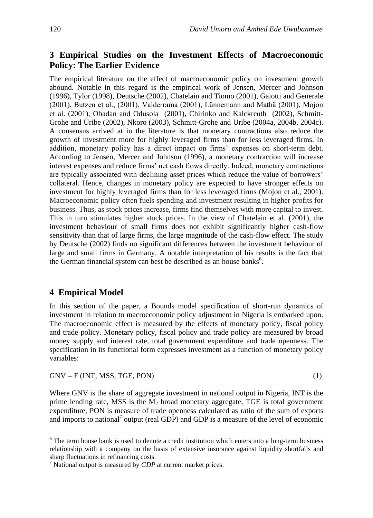# **3 Empirical Studies on the Investment Effects of Macroeconomic Policy: The Earlier Evidence**

The empirical literature on the effect of macroeconomic policy on investment growth abound. Notable in this regard is the empirical work of Jensen, Mercer and Johnson (1996), Tylor (1998), Deutsche (2002), Chatelain and Tiomo (2001), Gaiotti and Generale (2001), Butzen et al., (2001), Valderrama (2001), Lünnemann and Mathä (2001), Mojon et al. (2001), Obadan and Odusola (2001), Chirinko and Kalckreuth (2002), Schmitt-Grohe and Uribe (2002), Nkoro (2003), Schmitt-Grohe and Uribe (2004a, 2004b, 2004c). A consensus arrived at in the literature is that monetary contractions also reduce the growth of investment more for highly leveraged firms than for less leveraged firms. In addition, monetary policy has a direct impact on firms" expenses on short-term debt. According to Jensen, Mercer and Johnson (1996), a monetary contraction will increase interest expenses and reduce firms" net cash flows directly. Indeed, monetary contractions are typically associated with declining asset prices which reduce the value of borrowers" collateral. Hence, changes in monetary policy are expected to have stronger effects on investment for highly leveraged firms than for less leveraged firms (Mojon et al., 2001). Macroeconomic policy often fuels spending and investment resulting in higher profits for business. Thus, as stock prices increase, firms find themselves with more capital to invest. This in turn stimulates higher stock prices. In the view of Chatelain et al. (2001), the investment behaviour of small firms does not exhibit significantly higher cash-flow sensitivity than that of large firms, the large magnitude of the cash-flow effect. The study by Deutsche (2002) finds no significant differences between the investment behaviour of large and small firms in Germany. A notable interpretation of his results is the fact that the German financial system can best be described as an house banks<sup>6</sup>.

# **4 Empirical Model**

In this section of the paper, a Bounds model specification of short-run dynamics of investment in relation to macroeconomic policy adjustment in Nigeria is embarked upon. The macroeconomic effect is measured by the effects of monetary policy, fiscal policy and trade policy. Monetary policy, fiscal policy and trade policy are measured by broad money supply and interest rate, total government expenditure and trade openness. The specification in its functional form expresses investment as a function of monetary policy variables:

 $GNV = F (INT, MSS, TGE, PON)$  (1)

 $\overline{a}$ 

Where GNV is the share of aggregate investment in national output in Nigeria, INT is the prime lending rate, MSS is the  $M_2$  broad monetary aggregate, TGE is total government expenditure, PON is measure of trade openness calculated as ratio of the sum of exports and imports to national<sup>7</sup> output (real GDP) and GDP is a measure of the level of economic

 $6$  The term house bank is used to denote a credit institution which enters into a long-term business relationship with a company on the basis of extensive insurance against liquidity shortfalls and sharp fluctuations in refinancing costs.

<sup>7</sup> National output is measured by *GDP* at current market prices.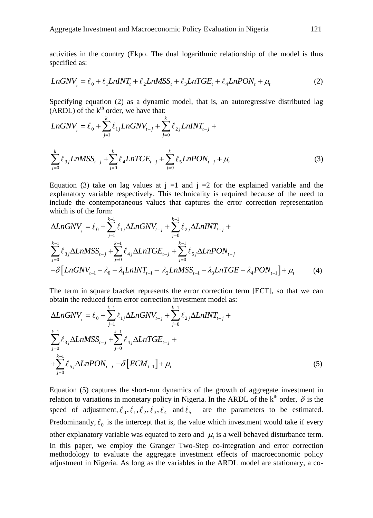activities in the country (Ekpo. The dual logarithmic relationship of the model is thus specified as:<br> *LnGNV* =  $\ell_0 + \ell_1 LnINT_t + \ell_2 LnMSS_t + \ell_3 LnTGE_t + \ell_4 LnPON_t + \mu_t$  (2) specified as:

$$
Ln GNV_{t} = l_0 + l_1 LnINT_t + l_2 LnMSS_t + l_3 LnTGE_t + l_4 LnPON_t + \mu_t
$$
\n(2)

Specificating equation (2) as a dynamic model, that is, an autoregressive distributed lag  
\n(ARDL) of the k<sup>th</sup> order, we have that:  
\n
$$
LnGNV_{i} = \ell_{0} + \sum_{j=1}^{k} \ell_{1j} LnGNV_{t-j} + \sum_{j=0}^{k} \ell_{2j} LnINT_{t-j} + \sum_{j=0}^{k} \ell_{3j} LnMSS_{t-j} + \sum_{j=0}^{k} \ell_{4} LnTGE_{t-j} + \sum_{j=0}^{k} \ell_{5} LnPON_{t-j} + \mu_{t}
$$
\n(3)

Equation (3) take on lag values at  $i =1$  and  $i =2$  for the explained variable and the explanatory variable respectively. This technicality is required because of the need to include the contemporaneous values that captures the error correction representation which is of the form:  $\frac{1}{2}$ **n**:<br> $\sum_{k=1}^{k} a_k = a_k$  $\frac{1}{k-1}$ 

explanatory variable respectively. This technically is required because of the need to  
include the contemporaneous values that captures the error correction representation  
which is of the form:  

$$
\Delta LnGNV_{i} = \ell_{0} + \sum_{j=1}^{k-1} \ell_{1j} \Delta LnGNV_{i-j} + \sum_{j=0}^{k-1} \ell_{2j} \Delta LnINT_{i-j} + \sum_{j=0}^{k-1} \ell_{3j} \Delta LnMSS_{i-j} + \sum_{j=0}^{k-1} \ell_{4j} \Delta LnTGE_{i-j} + \sum_{j=0}^{k-1} \ell_{5j} \Delta LnPON_{i-j} - \delta [LnGNV_{i-1} - \lambda_{0} - \lambda_{1} LnINT_{i-1} - \lambda_{2} LnMSS_{i-1} - \lambda_{3} LnTGE - \lambda_{4} PON_{i-1}] + \mu_{i}
$$
(4)

The term in square bracket represents the error correction term [ECT], so that we can

The term in square bracket represents the error correction term [ECT], so that we can obtain the reduced form error correction investment model as:  
\n
$$
\Delta LnGNV_{t} = \ell_0 + \sum_{j=1}^{k-1} \ell_{1j} \Delta LnGNV_{t-j} + \sum_{j=0}^{k-1} \ell_{2j} \Delta LnINT_{t-j} + \sum_{j=0}^{k-1} \ell_{3j} \Delta LnMSS_{t-j} + \sum_{j=0}^{k-1} \ell_{4j} \Delta LnTGE_{t-j} + \sum_{j=0}^{k-1} \ell_{5j} \Delta LnPON_{t-j} - \delta [ECM_{t-1}] + \mu_t
$$
\n(5)

Equation (5) captures the short-run dynamics of the growth of aggregate investment in relation to variations in monetary policy in Nigeria. In the ARDL of the  $k<sup>th</sup>$  order,  $\delta$  is the speed of adjustment,  $\ell_0, \ell_1, \ell_2, \ell_3, \ell_4$  and  $\ell_5$  are the parameters to be estimated. Predominantly,  $\ell_0$  is the intercept that is, the value which investment would take if every other explanatory variable was equated to zero and  $\mu$  is a well behaved disturbance term. In this paper, we employ the Granger Two-Step co-integration and error correction methodology to evaluate the aggregate investment effects of macroeconomic policy adjustment in Nigeria. As long as the variables in the ARDL model are stationary, a co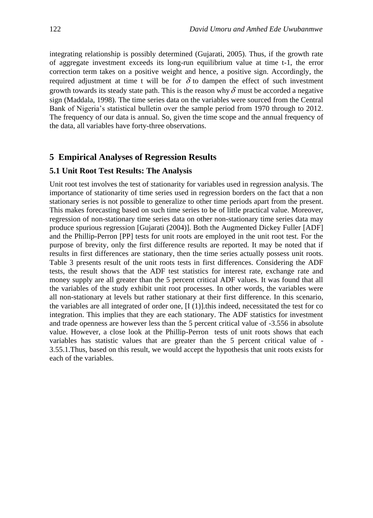integrating relationship is possibly determined (Gujarati, 2005). Thus, if the growth rate of aggregate investment exceeds its long-run equilibrium value at time t-1, the error correction term takes on a positive weight and hence, a positive sign. Accordingly, the required adjustment at time t will be for  $\delta$  to dampen the effect of such investment growth towards its steady state path. This is the reason why  $\delta$  must be accorded a negative sign (Maddala, 1998). The time series data on the variables were sourced from the Central Bank of Nigeria's statistical bulletin over the sample period from 1970 through to 2012. The frequency of our data is annual. So, given the time scope and the annual frequency of the data, all variables have forty-three observations.

#### **5 Empirical Analyses of Regression Results**

#### **5.1 Unit Root Test Results: The Analysis**

Unit root test involves the test of stationarity for variables used in regression analysis. The importance of stationarity of time series used in regression borders on the fact that a non stationary series is not possible to generalize to other time periods apart from the present. This makes forecasting based on such time series to be of little practical value. Moreover, regression of non-stationary time series data on other non-stationary time series data may produce spurious regression [Gujarati (2004)]. Both the Augmented Dickey Fuller [ADF] and the Phillip-Perron [PP] tests for unit roots are employed in the unit root test. For the purpose of brevity, only the first difference results are reported. It may be noted that if results in first differences are stationary, then the time series actually possess unit roots. Table 3 presents result of the unit roots tests in first differences. Considering the ADF tests, the result shows that the ADF test statistics for interest rate, exchange rate and money supply are all greater than the 5 percent critical ADF values. It was found that all the variables of the study exhibit unit root processes. In other words, the variables were all non-stationary at levels but rather stationary at their first difference. In this scenario, the variables are all integrated of order one,  $[I(1)]$ , this indeed, necessitated the test for co integration. This implies that they are each stationary. The ADF statistics for investment and trade openness are however less than the 5 percent critical value of -3.556 in absolute value. However, a close look at the Phillip-Perron tests of unit roots shows that each variables has statistic values that are greater than the 5 percent critical value of - 3.55.1.Thus, based on this result, we would accept the hypothesis that unit roots exists for each of the variables.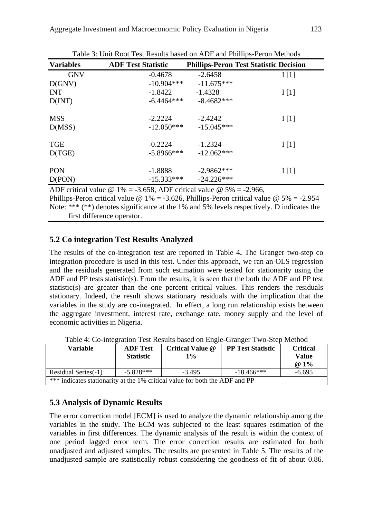| <b>Variables</b> | <b>ADF Test Statistic</b> | <b>Phillips-Peron Test Statistic Decision</b> |      |
|------------------|---------------------------|-----------------------------------------------|------|
| <b>GNV</b>       | $-0.4678$                 | $-2.6458$                                     | I[1] |
| D(GNV)           | $-10.904***$              | $-11.675***$                                  |      |
| <b>INT</b>       | $-1.8422$                 | $-1.4328$                                     | I[1] |
| D(INT)           | $-6.4464***$              | $-8.4682***$                                  |      |
| <b>MSS</b>       | $-2.2224$                 | $-2.4242$                                     | I[1] |
| D(MSS)           | $-12.050***$              | $-15.045***$                                  |      |
| <b>TGE</b>       | $-0.2224$                 | $-1.2324$                                     | I[1] |
| D(TGE)           | $-5.8966$ ***             | $-12.062***$                                  |      |
| <b>PON</b>       | $-1.8888$                 | $-2.9862***$                                  | I[1] |
| D(PON)           | $-15.333***$              | $-24.226***$                                  |      |

Table 3: Unit Root Test Results based on ADF and Phillips-Peron Methods

ADF critical value  $\omega$  1% = -3.658, ADF critical value  $\omega$  5% = -2.966, Phillips-Peron critical value @ 1% = -3.626, Phillips-Peron critical value @ 5% = -2.954 Note: \*\*\* (\*\*) denotes significance at the 1% and 5% levels respectively. D indicates the first difference operator.

## **5.2 Co integration Test Results Analyzed**

The results of the co-integration test are reported in Table 4**.** The Granger two-step co integration procedure is used in this test. Under this approach, we ran an OLS regression and the residuals generated from such estimation were tested for stationarity using the ADF and PP tests statistic(s). From the results, it is seen that the both the ADF and PP test statistic(s) are greater than the one percent critical values. This renders the residuals stationary. Indeed, the result shows stationary residuals with the implication that the variables in the study are co-integrated. In effect, a long run relationship exists between the aggregate investment, interest rate, exchange rate, money supply and the level of economic activities in Nigeria.

| Table 4. Co-integration Test Results based on Engle-Granger Two-Step Method |                 |                                              |  |                 |  |  |
|-----------------------------------------------------------------------------|-----------------|----------------------------------------------|--|-----------------|--|--|
| Variable                                                                    | <b>ADF</b> Test | Critical Value @<br><b>PP Test Statistic</b> |  | <b>Critical</b> |  |  |
|                                                                             | Value           |                                              |  |                 |  |  |
| @ $1\%$                                                                     |                 |                                              |  |                 |  |  |
| $-5.828***$<br>$-3.495$<br>$-18.466***$<br>Residual Series(-1)<br>$-6.695$  |                 |                                              |  |                 |  |  |
| *** indicates stationarity at the 1% critical value for both the ADF and PP |                 |                                              |  |                 |  |  |

Table 4: Co-integration Test Results based on Engle-Granger Two-Step Method

## **5.3 Analysis of Dynamic Results**

The error correction model [ECM] is used to analyze the dynamic relationship among the variables in the study. The ECM was subjected to the least squares estimation of the variables in first differences. The dynamic analysis of the result is within the context of one period lagged error term. The error correction results are estimated for both unadjusted and adjusted samples. The results are presented in Table 5. The results of the unadjusted sample are statistically robust considering the goodness of fit of about 0.86.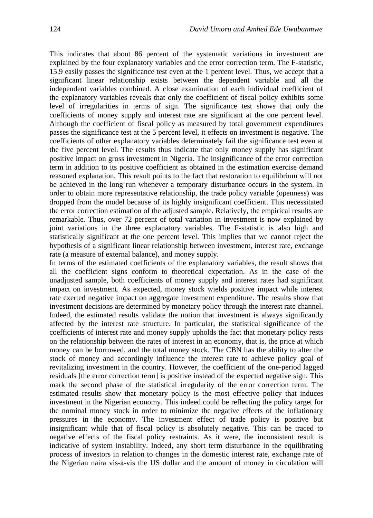This indicates that about 86 percent of the systematic variations in investment are explained by the four explanatory variables and the error correction term. The F-statistic, 15.9 easily passes the significance test even at the 1 percent level. Thus, we accept that a significant linear relationship exists between the dependent variable and all the independent variables combined. A close examination of each individual coefficient of the explanatory variables reveals that only the coefficient of fiscal policy exhibits some level of irregularities in terms of sign. The significance test shows that only the coefficients of money supply and interest rate are significant at the one percent level. Although the coefficient of fiscal policy as measured by total government expenditures passes the significance test at the 5 percent level, it effects on investment is negative. The coefficients of other explanatory variables determinately fail the significance test even at the five percent level. The results thus indicate that only money supply has significant positive impact on gross investment in Nigeria. The insignificance of the error correction term in addition to its positive coefficient as obtained in the estimation exercise demand reasoned explanation. This result points to the fact that restoration to equilibrium will not be achieved in the long run whenever a temporary disturbance occurs in the system. In order to obtain more representative relationship, the trade policy variable (openness) was dropped from the model because of its highly insignificant coefficient. This necessitated the error correction estimation of the adjusted sample. Relatively, the empirical results are remarkable. Thus, over 72 percent of total variation in investment is now explained by joint variations in the three explanatory variables. The F-statistic is also high and statistically significant at the one percent level. This implies that we cannot reject the hypothesis of a significant linear relationship between investment, interest rate, exchange rate (a measure of external balance), and money supply.

In terms of the estimated coefficients of the explanatory variables, the result shows that all the coefficient signs conform to theoretical expectation. As in the case of the unadjusted sample, both coefficients of money supply and interest rates had significant impact on investment. As expected, money stock wields positive impact while interest rate exerted negative impact on aggregate investment expenditure. The results show that investment decisions are determined by monetary policy through the interest rate channel. Indeed, the estimated results validate the notion that investment is always significantly affected by the interest rate structure. In particular, the statistical significance of the coefficients of interest rate and money supply upholds the fact that monetary policy rests on the relationship between the rates of interest in an economy, that is, the price at which money can be borrowed, and the total money stock. The CBN has the ability to alter the stock of money and accordingly influence the interest rate to achieve policy goal of revitalizing investment in the country. However, the coefficient of the one-period lagged residuals [the error correction term] is positive instead of the expected negative sign. This mark the second phase of the statistical irregularity of the error correction term. The estimated results show that monetary policy is the most effective policy that induces investment in the Nigerian economy. This indeed could be reflecting the policy target for the nominal money stock in order to minimize the negative effects of the inflationary pressures in the economy. The investment effect of trade policy is positive but insignificant while that of fiscal policy is absolutely negative. This can be traced to negative effects of the fiscal policy restraints. As it were, the inconsistent result is indicative of system instability. Indeed, any short term disturbance in the equilibrating process of investors in relation to changes in the domestic interest rate, exchange rate of the Nigerian naira vis-à-vis the US dollar and the amount of money in circulation will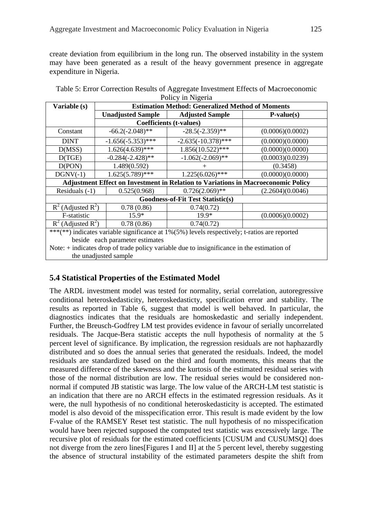create deviation from equilibrium in the long run. The observed instability in the system may have been generated as a result of the heavy government presence in aggregate expenditure in Nigeria.

| Variable (s)                                                                                 | <b>Estimation Method: Generalized Method of Moments</b> |                          |                                          |                  |  |  |
|----------------------------------------------------------------------------------------------|---------------------------------------------------------|--------------------------|------------------------------------------|------------------|--|--|
|                                                                                              |                                                         | <b>Unadjusted Sample</b> | <b>Adjusted Sample</b>                   | $P-value(s)$     |  |  |
|                                                                                              |                                                         |                          | <b>Coefficients (t-values)</b>           |                  |  |  |
| Constant                                                                                     |                                                         | $-66.2(-2.048)$ **       | $-28.5(-2.359)$ **                       | (0.0006)(0.0002) |  |  |
| <b>DINT</b>                                                                                  |                                                         | $-1.656(-5.353)$ ***     | $-2.635(-10.378)$ ***                    | (0.0000)(0.0000) |  |  |
| D(MSS)                                                                                       |                                                         | $1.626(4.639)$ ***       | $1.856(10.522)$ ***                      | (0.0000)(0.0000) |  |  |
| D(TGE)                                                                                       |                                                         | $-0.284(-2.428)$ **      | $-1.062(-2.069)$ **                      | (0.0003)(0.0239) |  |  |
| D(PON)                                                                                       |                                                         | 1.489(0.592)             | $\! +$                                   | (0.3458)         |  |  |
| $DGNV(-1)$                                                                                   |                                                         | $1.625(5.789)$ ***       | $1.225(6.026)$ ***                       | (0.0000)(0.0000) |  |  |
| <b>Adjustment Effect on Investment in Relation to Variations in Macroeconomic Policy</b>     |                                                         |                          |                                          |                  |  |  |
| Residuals $(-1)$                                                                             |                                                         | 0.525(0.968)             | $0.726(2.069)$ **                        | (2.2604)(0.0046) |  |  |
|                                                                                              |                                                         |                          | <b>Goodness-of-Fit Test Statistic(s)</b> |                  |  |  |
| $R^2$ (Adjusted $R^2$ )                                                                      |                                                         | 0.78(0.86)               | 0.74(0.72)                               |                  |  |  |
| F-statistic                                                                                  |                                                         | $15.9*$                  | $19.9*$                                  | (0.0006)(0.0002) |  |  |
| $R^2$ (Adjusted $R^2$ )                                                                      |                                                         | 0.78(0.86)               | 0.74(0.72)                               |                  |  |  |
| ***(**) indicates variable significance at 1%(5%) levels respectively; t-ratios are reported |                                                         |                          |                                          |                  |  |  |
| beside each parameter estimates                                                              |                                                         |                          |                                          |                  |  |  |
| Note: $+$ indicates drop of trade policy variable due to insignificance in the estimation of |                                                         |                          |                                          |                  |  |  |
| the unadjusted sample                                                                        |                                                         |                          |                                          |                  |  |  |

Table 5: Error Correction Results of Aggregate Investment Effects of Macroeconomic Policy in Nigeria

# **5.4 Statistical Properties of the Estimated Model**

The ARDL investment model was tested for normality, serial correlation, autoregressive conditional heteroskedasticity, heteroskedasticty, specification error and stability. The results as reported in Table 6, suggest that model is well behaved. In particular, the diagnostics indicates that the residuals are homoskedastic and serially independent. Further, the Breusch-Godfrey LM test provides evidence in favour of serially uncorrelated residuals. The Jacque-Bera statistic accepts the null hypothesis of normality at the 5 percent level of significance. By implication, the regression residuals are not haphazardly distributed and so does the annual series that generated the residuals. Indeed, the model residuals are standardized based on the third and fourth moments, this means that the measured difference of the skewness and the kurtosis of the estimated residual series with those of the normal distribution are low. The residual series would be considered nonnormal if computed JB statistic was large. The low value of the ARCH-LM test statistic is an indication that there are no ARCH effects in the estimated regression residuals. As it were, the null hypothesis of no conditional heteroskedasticity is accepted. The estimated model is also devoid of the misspecification error. This result is made evident by the low F-value of the RAMSEY Reset test statistic. The null hypothesis of no misspecification would have been rejected supposed the computed test statistic was excessively large. The recursive plot of residuals for the estimated coefficients [CUSUM and CUSUMSQ] does not diverge from the zero lines[Figures I and II] at the 5 percent level, thereby suggesting the absence of structural instability of the estimated parameters despite the shift from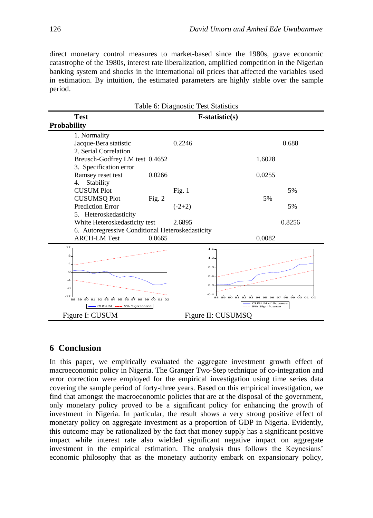direct monetary control measures to market-based since the 1980s, grave economic catastrophe of the 1980s, interest rate liberalization, amplified competition in the Nigerian banking system and shocks in the international oil prices that affected the variables used in estimation. By intuition, the estimated parameters are highly stable over the sample period.

| Table 6: Diagnostic Test Statistics                                               |             |          |                    |                                                                             |                      |  |  |
|-----------------------------------------------------------------------------------|-------------|----------|--------------------|-----------------------------------------------------------------------------|----------------------|--|--|
| <b>Test</b><br><b>Probability</b>                                                 |             |          | $F-statistic(s)$   |                                                                             |                      |  |  |
| 1. Normality<br>Jacque-Bera statistic                                             |             | 0.2246   |                    |                                                                             | 0.688                |  |  |
| 2. Serial Correlation                                                             |             |          |                    |                                                                             |                      |  |  |
| Breusch-Godfrey LM test 0.4652<br>3. Specification error                          |             |          |                    | 1.6028                                                                      |                      |  |  |
| Ramsey reset test<br>4. Stability                                                 | 0.0266      |          |                    | 0.0255                                                                      |                      |  |  |
| <b>CUSUM Plot</b><br><b>CUSUMSQ Plot</b>                                          | Fig. $2$    | Fig. $1$ |                    | 5%                                                                          | 5%                   |  |  |
| <b>Prediction Error</b><br>5. Heteroskedasticity                                  |             | $(-2+2)$ |                    |                                                                             | 5%                   |  |  |
| White Heteroskedasticity test<br>6. Autoregressive Conditional Heteroskedasticity |             | 2.6895   |                    |                                                                             | 0.8256               |  |  |
| <b>ARCH-LM Test</b>                                                               | 0.0665      |          |                    | 0.0082                                                                      |                      |  |  |
| 12<br>8                                                                           |             |          | 1.6<br>1.2         |                                                                             |                      |  |  |
| 4                                                                                 |             |          | 0.8                |                                                                             |                      |  |  |
| $\circ$                                                                           |             |          | 0.4                |                                                                             |                      |  |  |
| -4<br>-8<br>$-12$                                                                 |             |          | 0.0<br>$-0.4$      |                                                                             |                      |  |  |
| 88 89 90 91 92 93 94 95 96 97<br>98<br>CUSUM ----- 5% Significance                | 99 00 01 02 |          |                    | 88 89 90 91 92 93 94 95<br>96<br><b>CUSUM of Squares</b><br>5% Significance | 98 99 00 01 02<br>97 |  |  |
| Figure I: CUSUM                                                                   |             |          | Figure II: CUSUMSQ |                                                                             |                      |  |  |

# **6 Conclusion**

In this paper, we empirically evaluated the aggregate investment growth effect of macroeconomic policy in Nigeria. The Granger Two-Step technique of co-integration and error correction were employed for the empirical investigation using time series data covering the sample period of forty-three years. Based on this empirical investigation, we find that amongst the macroeconomic policies that are at the disposal of the government, only monetary policy proved to be a significant policy for enhancing the growth of investment in Nigeria. In particular, the result shows a very strong positive effect of monetary policy on aggregate investment as a proportion of GDP in Nigeria. Evidently, this outcome may be rationalized by the fact that money supply has a significant positive impact while interest rate also wielded significant negative impact on aggregate investment in the empirical estimation. The analysis thus follows the Keynesians' economic philosophy that as the monetary authority embark on expansionary policy,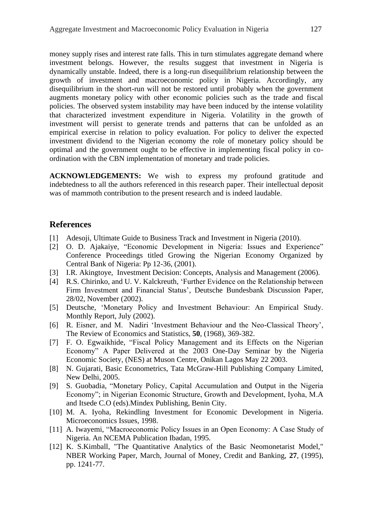money supply rises and interest rate falls. This in turn stimulates aggregate demand where investment belongs. However, the results suggest that investment in Nigeria is dynamically unstable. Indeed, there is a long-run disequilibrium relationship between the growth of investment and macroeconomic policy in Nigeria. Accordingly, any disequilibrium in the short-run will not be restored until probably when the government augments monetary policy with other economic policies such as the trade and fiscal policies. The observed system instability may have been induced by the intense volatility that characterized investment expenditure in Nigeria. Volatility in the growth of investment will persist to generate trends and patterns that can be unfolded as an empirical exercise in relation to policy evaluation. For policy to deliver the expected investment dividend to the Nigerian economy the role of monetary policy should be optimal and the government ought to be effective in implementing fiscal policy in coordination with the CBN implementation of monetary and trade policies.

**ACKNOWLEDGEMENTS:** We wish to express my profound gratitude and indebtedness to all the authors referenced in this research paper. Their intellectual deposit was of mammoth contribution to the present research and is indeed laudable.

#### **References**

- [1] Adesoji, Ultimate Guide to Business Track and Investment in Nigeria (2010).
- [2] O. D. Ajakaiye, "Economic Development in Nigeria: Issues and Experience" Conference Proceedings titled Growing the Nigerian Economy Organized by Central Bank of Nigeria: Pp 12-36, (2001).
- [3] I.R. Akingtoye, Investment Decision: Concepts, Analysis and Management (2006).
- [4] R.S. Chirinko, and U. V. Kalckreuth, "Further Evidence on the Relationship between Firm Investment and Financial Status', Deutsche Bundesbank Discussion Paper, 28/02, November (2002).
- [5] Deutsche, "Monetary Policy and Investment Behaviour: An Empirical Study. Monthly Report, July (2002).
- [6] R. Eisner, and M. Nadiri "Investment Behaviour and the Neo-Classical Theory", The Review of Economics and Statistics, **50**, (1968), 369-382.
- [7] F. O. Egwaikhide, "Fiscal Policy Management and its Effects on the Nigerian Economy" A Paper Delivered at the 2003 One-Day Seminar by the Nigeria Economic Society, (NES) at Muson Centre, Onikan Lagos May 22 2003.
- [8] N. Gujarati, Basic Econometrics, Tata McGraw-Hill Publishing Company Limited, New Delhi, 2005.
- [9] S. Guobadia, "Monetary Policy, Capital Accumulation and Output in the Nigeria Economy"; in Nigerian Economic Structure, Growth and Development, Iyoha, M.A and Itsede C.O (eds).Mindex Publishing, Benin City.
- [10] M. A. Iyoha, Rekindling Investment for Economic Development in Nigeria. Microeconomics Issues, 1998.
- [11] A. Iwayemi, "Macroeconomic Policy Issues in an Open Economy: A Case Study of Nigeria. An NCEMA Publication Ibadan, 1995.
- [12] K. S.Kimball, "The Quantitative Analytics of the Basic Neomonetarist Model," NBER Working Paper, March, Journal of Money, Credit and Banking, **27**, (1995), pp. 1241-77.